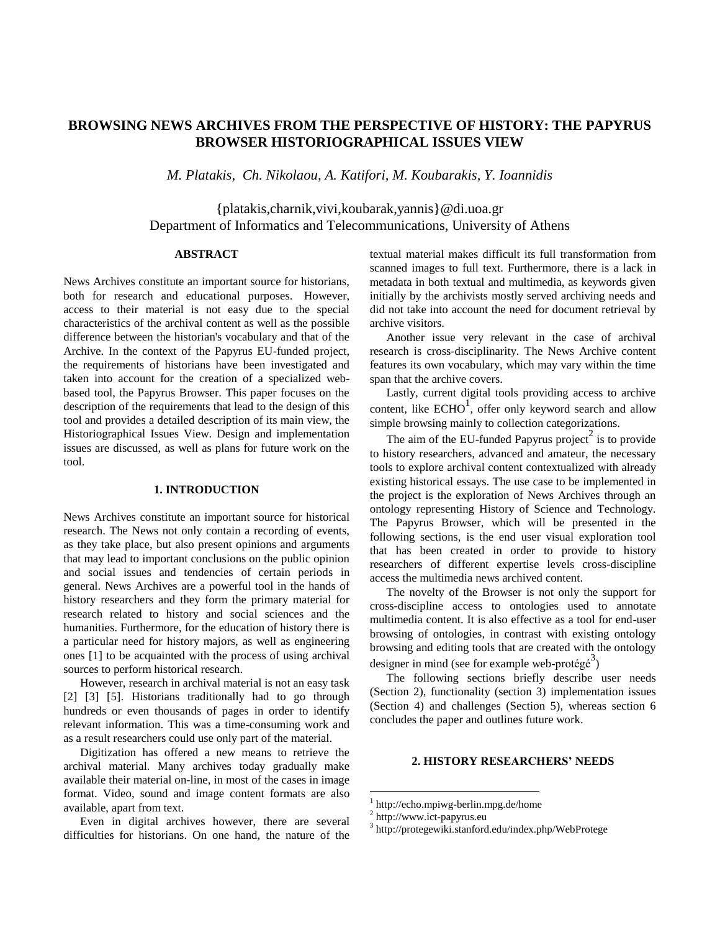# **BROWSING NEWS ARCHIVES FROM THE PERSPECTIVE OF HISTORY: THE PAPYRUS BROWSER HISTORIOGRAPHICAL ISSUES VIEW**

*M. Platakis, Ch. Nikolaou, A. Katifori, M. Koubarakis, Y. Ioannidis*

{platakis,charnik,vivi,koubarak,yannis}@di.uoa.gr Department of Informatics and Telecommunications, University of Athens

### **ABSTRACT**

News Archives constitute an important source for historians, both for research and educational purposes. However, access to their material is not easy due to the special characteristics of the archival content as well as the possible difference between the historian's vocabulary and that of the Archive. In the context of the Papyrus EU-funded project, the requirements of historians have been investigated and taken into account for the creation of a specialized webbased tool, the Papyrus Browser. This paper focuses on the description of the requirements that lead to the design of this tool and provides a detailed description of its main view, the Historiographical Issues View. Design and implementation issues are discussed, as well as plans for future work on the tool.

# **1. INTRODUCTION**

News Archives constitute an important source for historical research. The News not only contain a recording of events, as they take place, but also present opinions and arguments that may lead to important conclusions on the public opinion and social issues and tendencies of certain periods in general. News Archives are a powerful tool in the hands of history researchers and they form the primary material for research related to history and social sciences and the humanities. Furthermore, for the education of history there is a particular need for history majors, as well as engineering ones [1] to be acquainted with the process of using archival sources to perform historical research.

However, research in archival material is not an easy task [2] [3] [5]. Historians traditionally had to go through hundreds or even thousands of pages in order to identify relevant information. This was a time-consuming work and as a result researchers could use only part of the material.

Digitization has offered a new means to retrieve the archival material. Many archives today gradually make available their material on-line, in most of the cases in image format. Video, sound and image content formats are also available, apart from text.

Even in digital archives however, there are several difficulties for historians. On one hand, the nature of the textual material makes difficult its full transformation from scanned images to full text. Furthermore, there is a lack in metadata in both textual and multimedia, as keywords given initially by the archivists mostly served archiving needs and did not take into account the need for document retrieval by archive visitors.

Another issue very relevant in the case of archival research is cross-disciplinarity. The News Archive content features its own vocabulary, which may vary within the time span that the archive covers.

Lastly, current digital tools providing access to archive content, like  $ECHO<sup>1</sup>$ , offer only keyword search and allow simple browsing mainly to collection categorizations.

The aim of the EU-funded Papyrus project<sup>2</sup> is to provide to history researchers, advanced and amateur, the necessary tools to explore archival content contextualized with already existing historical essays. The use case to be implemented in the project is the exploration of News Archives through an ontology representing History of Science and Technology. The Papyrus Browser, which will be presented in the following sections, is the end user visual exploration tool that has been created in order to provide to history researchers of different expertise levels cross-discipline access the multimedia news archived content.

The novelty of the Browser is not only the support for cross-discipline access to ontologies used to annotate multimedia content. It is also effective as a tool for end-user browsing of ontologies, in contrast with existing ontology browsing and editing tools that are created with the ontology designer in mind (see for example web-protégé<sup>3</sup>)

The following sections briefly describe user needs (Section 2), functionality (section 3) implementation issues (Section 4) and challenges (Section 5), whereas section 6 concludes the paper and outlines future work.

### **2. HISTORY RESEARCHERS' NEEDS**

 $\overline{a}$ 

<sup>1</sup> http://echo.mpiwg-berlin.mpg.de/home

<sup>2</sup> http://www.ict-papyrus.eu

<sup>3</sup> http://protegewiki.stanford.edu/index.php/WebProtege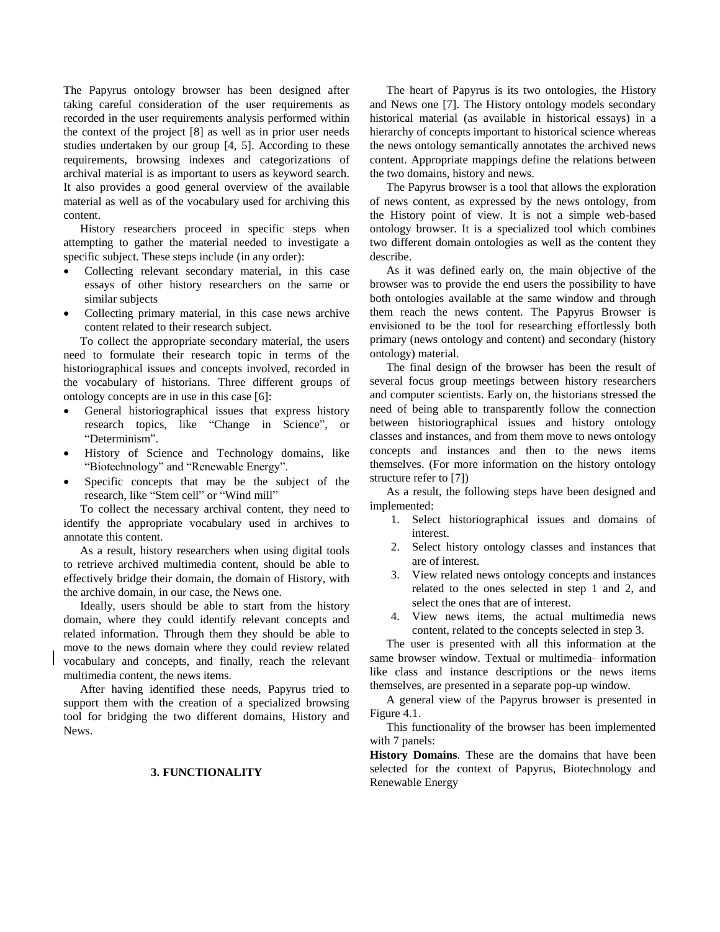The Papyrus ontology browser has been designed after taking careful consideration of the user requirements as recorded in the user requirements analysis performed within the context of the project [8] as well as in prior user needs studies undertaken by our group [4, 5]. According to these requirements, browsing indexes and categorizations of archival material is as important to users as keyword search. It also provides a good general overview of the available material as well as of the vocabulary used for archiving this content.

History researchers proceed in specific steps when attempting to gather the material needed to investigate a specific subject. These steps include (in any order):

- Collecting relevant secondary material, in this case essays of other history researchers on the same or similar subjects
- Collecting primary material, in this case news archive content related to their research subject.

To collect the appropriate secondary material, the users need to formulate their research topic in terms of the historiographical issues and concepts involved, recorded in the vocabulary of historians. Three different groups of ontology concepts are in use in this case [6]:

- General historiographical issues that express history research topics, like "Change in Science", or "Determinism".
- History of Science and Technology domains, like "Biotechnology" and "Renewable Energy".
- Specific concepts that may be the subject of the research, like "Stem cell" or "Wind mill"

To collect the necessary archival content, they need to identify the appropriate vocabulary used in archives to annotate this content.

As a result, history researchers when using digital tools to retrieve archived multimedia content, should be able to effectively bridge their domain, the domain of History, with the archive domain, in our case, the News one.

Ideally, users should be able to start from the history domain, where they could identify relevant concepts and related information. Through them they should be able to move to the news domain where they could review related vocabulary and concepts, and finally, reach the relevant multimedia content, the news items.

After having identified these needs, Papyrus tried to support them with the creation of a specialized browsing tool for bridging the two different domains, History and News.

#### **3. FUNCTIONALITY**

The heart of Papyrus is its two ontologies, the History and News one [7]. The History ontology models secondary historical material (as available in historical essays) in a hierarchy of concepts important to historical science whereas the news ontology semantically annotates the archived news content. Appropriate mappings define the relations between the two domains, history and news.

The Papyrus browser is a tool that allows the exploration of news content, as expressed by the news ontology, from the History point of view. It is not a simple web-based ontology browser. It is a specialized tool which combines two different domain ontologies as well as the content they describe.

As it was defined early on, the main objective of the browser was to provide the end users the possibility to have both ontologies available at the same window and through them reach the news content. The Papyrus Browser is envisioned to be the tool for researching effortlessly both primary (news ontology and content) and secondary (history ontology) material.

The final design of the browser has been the result of several focus group meetings between history researchers and computer scientists. Early on, the historians stressed the need of being able to transparently follow the connection between historiographical issues and history ontology classes and instances, and from them move to news ontology concepts and instances and then to the news items themselves. (For more information on the history ontology structure refer to [7])

As a result, the following steps have been designed and implemented:

- 1. Select historiographical issues and domains of interest.
- 2. Select history ontology classes and instances that are of interest.
- 3. View related news ontology concepts and instances related to the ones selected in step 1 and 2, and select the ones that are of interest.
- 4. View news items, the actual multimedia news content, related to the concepts selected in step 3.

The user is presented with all this information at the same browser window. Textual or multimedia- information like class and instance descriptions or the news items themselves, are presented in a separate pop-up window.

A general view of the Papyrus browser is presented in Figure 4.1.

This functionality of the browser has been implemented with 7 panels:

**History Domains**. These are the domains that have been selected for the context of Papyrus, Biotechnology and Renewable Energy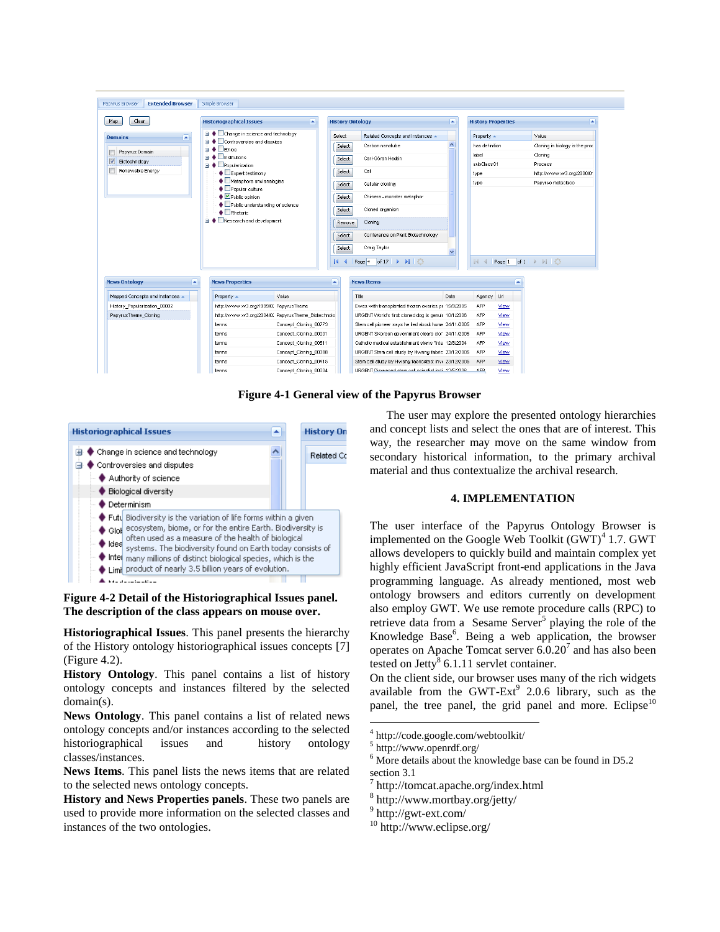

**Figure 4-1 General view of the Papyrus Browser**



# **Figure 4-2 Detail of the Historiographical Issues panel. The description of the class appears on mouse over.**

**Historiographical Issues**. This panel presents the hierarchy of the History ontology historiographical issues concepts [7] (Figure 4.2).

**History Ontology**. This panel contains a list of history ontology concepts and instances filtered by the selected domain(s).

**News Ontology**. This panel contains a list of related news ontology concepts and/or instances according to the selected historiographical issues and history ontology classes/instances.

**News Items**. This panel lists the news items that are related to the selected news ontology concepts.

**History and News Properties panels**. These two panels are used to provide more information on the selected classes and instances of the two ontologies.

The user may explore the presented ontology hierarchies and concept lists and select the ones that are of interest. This way, the researcher may move on the same window from secondary historical information, to the primary archival material and thus contextualize the archival research.

# **4. IMPLEMENTATION**

The user interface of the Papyrus Ontology Browser is implemented on the Google Web Toolkit  $(GWT)^4$  1.7. GWT allows developers to quickly build and maintain complex yet highly efficient JavaScript front-end applications in the Java programming language. As already mentioned, most web ontology browsers and editors currently on development also employ GWT. We use remote procedure calls (RPC) to retrieve data from a Sesame Server<sup>5</sup> playing the role of the Knowledge Base<sup>6</sup>. Being a web application, the browser operates on Apache Tomcat server  $6.0.20<sup>7</sup>$  and has also been tested on Jetty<sup>8</sup> 6.1.11 servlet container.

On the client side, our browser uses many of the rich widgets available from the GWT-Ext<sup>9</sup> 2.0.6 library, such as the panel, the tree panel, the grid panel and more. Eclipse<sup>10</sup>

 $\overline{a}$ 

<sup>4</sup> http://code.google.com/webtoolkit/

<sup>5</sup> http://www.openrdf.org/

 $6$  More details about the knowledge base can be found in D5.2 section 3.1

<sup>7</sup> http://tomcat.apache.org/index.html

<sup>8</sup> http://www.mortbay.org/jetty/

<sup>9</sup> http://gwt-ext.com/

<sup>10</sup> http://www.eclipse.org/